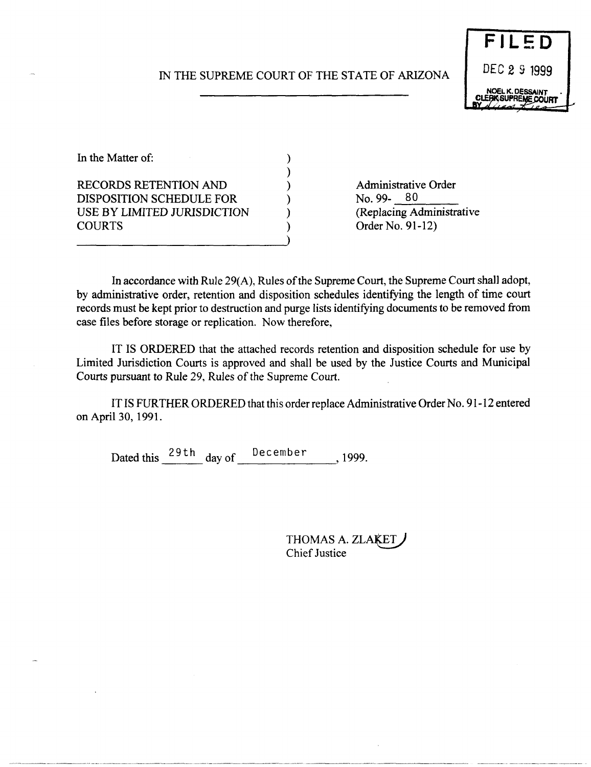# IN THE SUPREME COURT OF THE STATE OF ARIZONA

) ) ) ) ) ) )



In the Matter of: RECORDS RETENTION AND DISPOSITION SCHEDULE FOR USE BY LIMITED JURISDICTION **COURTS** 

Administrative Order No. 99-80<br>(Replacing Administrative Order No. 91-12)

In accordance with Rule 29(A), Rules of the Supreme Court, the Supreme Court shall adopt, by administrative order, retention and disposition schedules identifying the length of time court records must be kept prior to destruction and purge lists identifying documents to be removed from case files before storage or replication. Now therefore,

IT IS ORDERED that the attached records retention and disposition schedule for use by Limited Jurisdiction Courts is approved and shall be used by the Justice Courts and Municipal Courts pursuant to Rule 29, Rules of the Supreme Court.

IT IS FURTHER ORDERED that this order replace Administrative Order No. 91-12 entered on April 30, 1991.

Dated this  $\frac{29 \text{ th}}{4}$  day of December , 1999.

THOMAS A. ZLAKET Chief Justice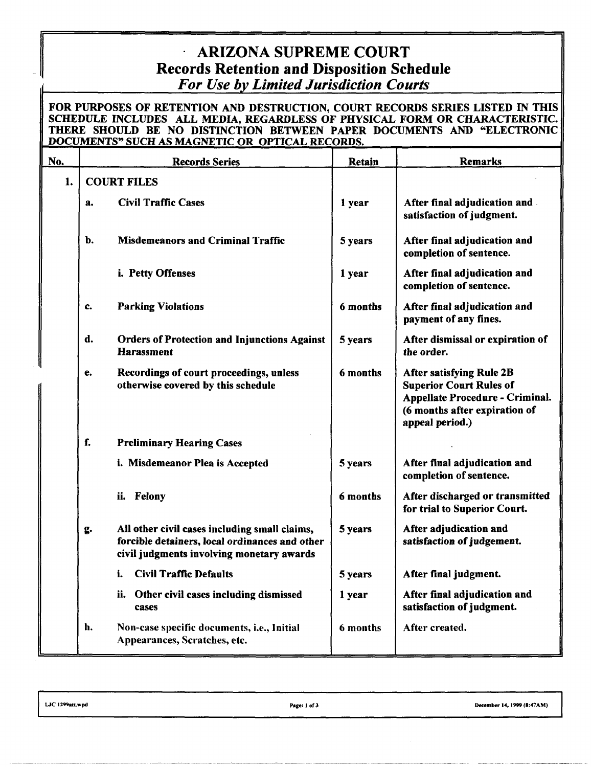# ARIZONA SUPREME COURT Records Retention and Disposition Schedule *For Use by Limited Jurisdiction Courts*

#### FOR PURPOSES OF RETENTION AND DESTRUCTION, COURT RECORDS SERIES LISTED IN THIS SCHEDULE INCLUDES ALL MEDIA, REGARDLESS OF PHYSICAL FORM OR CHARACTERISTIC. THERE SHOULD BE NO DISTINCTION BETWEEN PAPER DOCUMENTS AND "ELECTRONIC DOCUMENTS" SUCH AS MAGNETIC OR OPTICAL RECORDS.

| No. | <b>Records Series</b>                                                                                                                              | Retain   | Remarks                                                                                                                                                  |
|-----|----------------------------------------------------------------------------------------------------------------------------------------------------|----------|----------------------------------------------------------------------------------------------------------------------------------------------------------|
| 1.  | <b>COURT FILES</b>                                                                                                                                 |          |                                                                                                                                                          |
|     | <b>Civil Traffic Cases</b><br>a.                                                                                                                   | 1 year   | After final adjudication and<br>satisfaction of judgment.                                                                                                |
|     | b.<br><b>Misdemeanors and Criminal Traffic</b>                                                                                                     | 5 years  | After final adjudication and<br>completion of sentence.                                                                                                  |
|     | i. Petty Offenses                                                                                                                                  | 1 year   | After final adjudication and<br>completion of sentence.                                                                                                  |
|     | <b>Parking Violations</b><br>c.                                                                                                                    | 6 months | After final adjudication and<br>payment of any fines.                                                                                                    |
|     | d.<br><b>Orders of Protection and Injunctions Against</b><br><b>Harassment</b>                                                                     | 5 years  | After dismissal or expiration of<br>the order.                                                                                                           |
|     | Recordings of court proceedings, unless<br>e.<br>otherwise covered by this schedule                                                                | 6 months | <b>After satisfying Rule 2B</b><br><b>Superior Court Rules of</b><br>Appellate Procedure - Criminal.<br>(6 months after expiration of<br>appeal period.) |
|     | f.<br><b>Preliminary Hearing Cases</b>                                                                                                             |          |                                                                                                                                                          |
|     | i. Misdemeanor Plea is Accepted                                                                                                                    | 5 years  | After final adjudication and<br>completion of sentence.                                                                                                  |
|     | ii. Felony                                                                                                                                         | 6 months | After discharged or transmitted<br>for trial to Superior Court.                                                                                          |
|     | All other civil cases including small claims,<br>g.<br>forcible detainers, local ordinances and other<br>civil judgments involving monetary awards | 5 years  | After adjudication and<br>satisfaction of judgement.                                                                                                     |
|     | <b>Civil Traffic Defaults</b><br>i.                                                                                                                | 5 years  | After final judgment.                                                                                                                                    |
|     | ii. Other civil cases including dismissed<br>cases                                                                                                 | 1 year   | After final adjudication and<br>satisfaction of judgment.                                                                                                |
|     | h.<br>Non-case specific documents, i.e., Initial<br>Appearances, Scratches, etc.                                                                   | 6 months | After created.                                                                                                                                           |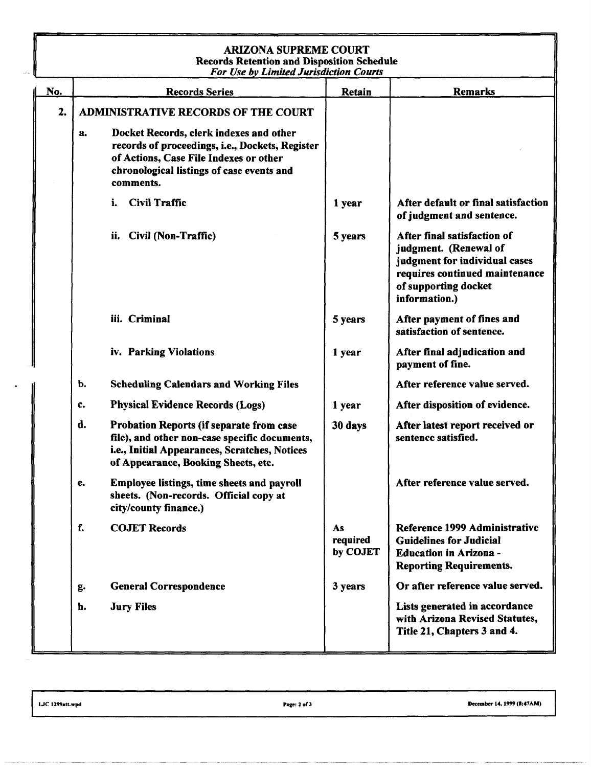## ARIZONA SUPREME COURT Records Retention and Disposition Schedule *For Use by Limited Jurisdiction Courts*

|     | <b>For Use by Limited Jurisdiction Courts</b> |                                                                                                                                                                                                |                            |                                                                                                                                                                  |  |  |  |  |
|-----|-----------------------------------------------|------------------------------------------------------------------------------------------------------------------------------------------------------------------------------------------------|----------------------------|------------------------------------------------------------------------------------------------------------------------------------------------------------------|--|--|--|--|
| No. | <b>Records Series</b>                         |                                                                                                                                                                                                | Retain                     | <b>Remarks</b>                                                                                                                                                   |  |  |  |  |
| 2.  |                                               | <b>ADMINISTRATIVE RECORDS OF THE COURT</b>                                                                                                                                                     |                            |                                                                                                                                                                  |  |  |  |  |
|     | a.                                            | Docket Records, clerk indexes and other<br>records of proceedings, i.e., Dockets, Register<br>of Actions, Case File Indexes or other<br>chronological listings of case events and<br>comments. |                            |                                                                                                                                                                  |  |  |  |  |
|     |                                               | <b>Civil Traffic</b><br>i.                                                                                                                                                                     | 1 year                     | After default or final satisfaction<br>of judgment and sentence.                                                                                                 |  |  |  |  |
|     |                                               | Civil (Non-Traffic)<br>ii.                                                                                                                                                                     | 5 years                    | After final satisfaction of<br>judgment. (Renewal of<br>judgment for individual cases<br>requires continued maintenance<br>of supporting docket<br>information.) |  |  |  |  |
|     |                                               | iii. Criminal                                                                                                                                                                                  | 5 years                    | After payment of fines and<br>satisfaction of sentence.                                                                                                          |  |  |  |  |
|     |                                               | iv. Parking Violations                                                                                                                                                                         | 1 year                     | After final adjudication and<br>payment of fine.                                                                                                                 |  |  |  |  |
|     | b.                                            | <b>Scheduling Calendars and Working Files</b>                                                                                                                                                  |                            | After reference value served.                                                                                                                                    |  |  |  |  |
|     | c.                                            | <b>Physical Evidence Records (Logs)</b>                                                                                                                                                        | 1 year                     | After disposition of evidence.                                                                                                                                   |  |  |  |  |
|     | d.                                            | Probation Reports (if separate from case<br>file), and other non-case specific documents,<br>i.e., Initial Appearances, Scratches, Notices<br>of Appearance, Booking Sheets, etc.              | 30 days                    | After latest report received or<br>sentence satisfied.                                                                                                           |  |  |  |  |
|     | e.                                            | Employee listings, time sheets and payroll<br>sheets. (Non-records. Official copy at<br>city/county finance.)                                                                                  |                            | After reference value served.                                                                                                                                    |  |  |  |  |
|     | f.                                            | <b>COJET Records</b>                                                                                                                                                                           | As<br>required<br>by COJET | Reference 1999 Administrative<br><b>Guidelines for Judicial</b><br><b>Education in Arizona -</b><br><b>Reporting Requirements.</b>                               |  |  |  |  |
|     | g.                                            | <b>General Correspondence</b>                                                                                                                                                                  | 3 years                    | Or after reference value served.                                                                                                                                 |  |  |  |  |
|     | h.                                            | <b>Jury Files</b>                                                                                                                                                                              |                            | Lists generated in accordance<br>with Arizona Revised Statutes,<br>Title 21, Chapters 3 and 4.                                                                   |  |  |  |  |